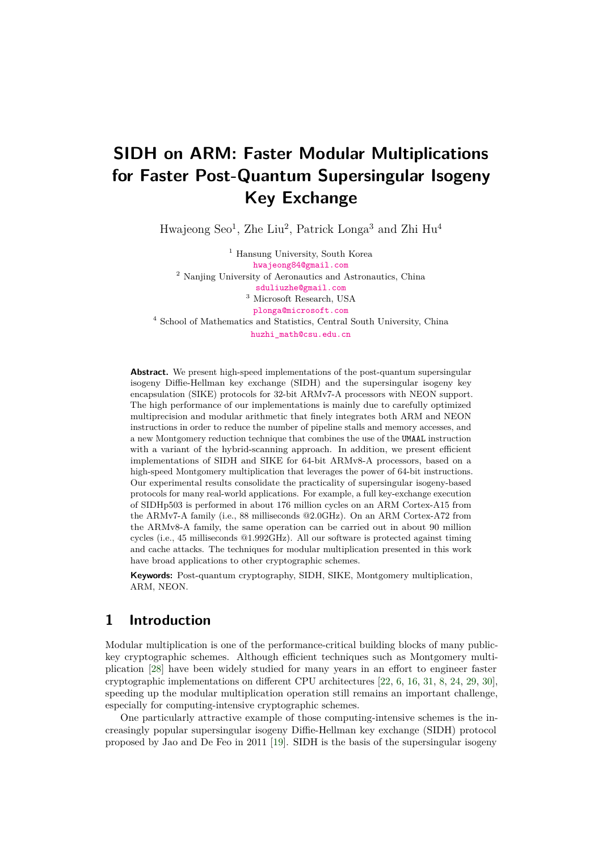# **SIDH on ARM: Faster Modular Multiplications for Faster Post-Quantum Supersingular Isogeny Key Exchange**

Hwajeong Seo<sup>1</sup>, Zhe Liu<sup>2</sup>, Patrick Longa<sup>3</sup> and Zhi Hu<sup>4</sup>

<sup>1</sup> Hansung University, South Korea [hwajeong84@gmail.com](mailto:hwajeong84@gmail.com) <sup>2</sup> Nanjing University of Aeronautics and Astronautics, China [sduliuzhe@gmail.com](mailto:sduliuzhe@gmail.com) <sup>3</sup> Microsoft Research, USA [plonga@microsoft.com](mailto:plonga@microsoft.com) <sup>4</sup> School of Mathematics and Statistics, Central South University, China [huzhi\\_math@csu.edu.cn](mailto:huzhi_math@csu.edu.cn)

**Abstract.** We present high-speed implementations of the post-quantum supersingular isogeny Diffie-Hellman key exchange (SIDH) and the supersingular isogeny key encapsulation (SIKE) protocols for 32-bit ARMv7-A processors with NEON support. The high performance of our implementations is mainly due to carefully optimized multiprecision and modular arithmetic that finely integrates both ARM and NEON instructions in order to reduce the number of pipeline stalls and memory accesses, and a new Montgomery reduction technique that combines the use of the UMAAL instruction with a variant of the hybrid-scanning approach. In addition, we present efficient implementations of SIDH and SIKE for 64-bit ARMv8-A processors, based on a high-speed Montgomery multiplication that leverages the power of 64-bit instructions. Our experimental results consolidate the practicality of supersingular isogeny-based protocols for many real-world applications. For example, a full key-exchange execution of SIDHp503 is performed in about 176 million cycles on an ARM Cortex-A15 from the ARMv7-A family (i.e., 88 milliseconds @2.0GHz). On an ARM Cortex-A72 from the ARMv8-A family, the same operation can be carried out in about 90 million cycles (i.e., 45 milliseconds @1.992GHz). All our software is protected against timing and cache attacks. The techniques for modular multiplication presented in this work have broad applications to other cryptographic schemes.

**Keywords:** Post-quantum cryptography, SIDH, SIKE, Montgomery multiplication, ARM, NEON.

# **1 Introduction**

Modular multiplication is one of the performance-critical building blocks of many publickey cryptographic schemes. Although efficient techniques such as Montgomery multiplication [\[28\]](#page-18-0) have been widely studied for many years in an effort to engineer faster cryptographic implementations on different CPU architectures [\[22,](#page-18-1) [6,](#page-17-0) [16,](#page-17-1) [31,](#page-18-2) [8,](#page-17-2) [24,](#page-18-3) [29,](#page-18-4) [30\]](#page-18-5), speeding up the modular multiplication operation still remains an important challenge, especially for computing-intensive cryptographic schemes.

One particularly attractive example of those computing-intensive schemes is the increasingly popular supersingular isogeny Diffie-Hellman key exchange (SIDH) protocol proposed by Jao and De Feo in 2011 [\[19\]](#page-17-3). SIDH is the basis of the supersingular isogeny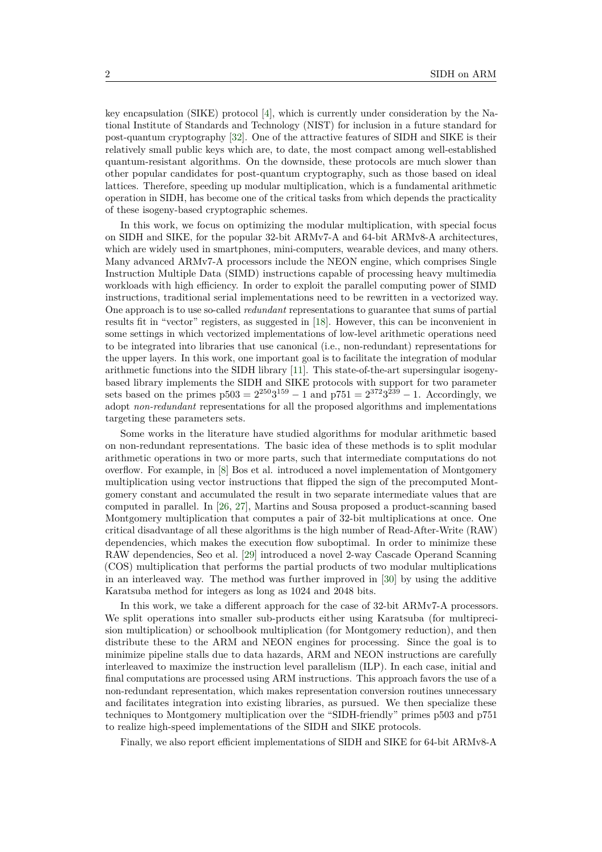key encapsulation (SIKE) protocol [\[4\]](#page-16-0), which is currently under consideration by the National Institute of Standards and Technology (NIST) for inclusion in a future standard for post-quantum cryptography [\[32\]](#page-18-6). One of the attractive features of SIDH and SIKE is their relatively small public keys which are, to date, the most compact among well-established quantum-resistant algorithms. On the downside, these protocols are much slower than other popular candidates for post-quantum cryptography, such as those based on ideal lattices. Therefore, speeding up modular multiplication, which is a fundamental arithmetic operation in SIDH, has become one of the critical tasks from which depends the practicality of these isogeny-based cryptographic schemes.

In this work, we focus on optimizing the modular multiplication, with special focus on SIDH and SIKE, for the popular 32-bit ARMv7-A and 64-bit ARMv8-A architectures, which are widely used in smartphones, mini-computers, wearable devices, and many others. Many advanced ARMv7-A processors include the NEON engine, which comprises Single Instruction Multiple Data (SIMD) instructions capable of processing heavy multimedia workloads with high efficiency. In order to exploit the parallel computing power of SIMD instructions, traditional serial implementations need to be rewritten in a vectorized way. One approach is to use so-called *redundant* representations to guarantee that sums of partial results fit in "vector" registers, as suggested in [\[18\]](#page-17-4). However, this can be inconvenient in some settings in which vectorized implementations of low-level arithmetic operations need to be integrated into libraries that use canonical (i.e., non-redundant) representations for the upper layers. In this work, one important goal is to facilitate the integration of modular arithmetic functions into the SIDH library [\[11\]](#page-17-5). This state-of-the-art supersingular isogenybased library implements the SIDH and SIKE protocols with support for two parameter sets based on the primes  $p503 = 2^{250}3^{159} - 1$  and  $p751 = 2^{372}3^{239} - 1$ . Accordingly, we adopt *non-redundant* representations for all the proposed algorithms and implementations targeting these parameters sets.

Some works in the literature have studied algorithms for modular arithmetic based on non-redundant representations. The basic idea of these methods is to split modular arithmetic operations in two or more parts, such that intermediate computations do not overflow. For example, in [\[8\]](#page-17-2) Bos et al. introduced a novel implementation of Montgomery multiplication using vector instructions that flipped the sign of the precomputed Montgomery constant and accumulated the result in two separate intermediate values that are computed in parallel. In [\[26,](#page-18-7) [27\]](#page-18-8), Martins and Sousa proposed a product-scanning based Montgomery multiplication that computes a pair of 32-bit multiplications at once. One critical disadvantage of all these algorithms is the high number of Read-After-Write (RAW) dependencies, which makes the execution flow suboptimal. In order to minimize these RAW dependencies, Seo et al. [\[29\]](#page-18-4) introduced a novel 2-way Cascade Operand Scanning (COS) multiplication that performs the partial products of two modular multiplications in an interleaved way. The method was further improved in [\[30\]](#page-18-5) by using the additive Karatsuba method for integers as long as 1024 and 2048 bits.

In this work, we take a different approach for the case of 32-bit ARMv7-A processors. We split operations into smaller sub-products either using Karatsuba (for multiprecision multiplication) or schoolbook multiplication (for Montgomery reduction), and then distribute these to the ARM and NEON engines for processing. Since the goal is to minimize pipeline stalls due to data hazards, ARM and NEON instructions are carefully interleaved to maximize the instruction level parallelism (ILP). In each case, initial and final computations are processed using ARM instructions. This approach favors the use of a non-redundant representation, which makes representation conversion routines unnecessary and facilitates integration into existing libraries, as pursued. We then specialize these techniques to Montgomery multiplication over the "SIDH-friendly" primes p503 and p751 to realize high-speed implementations of the SIDH and SIKE protocols.

Finally, we also report efficient implementations of SIDH and SIKE for 64-bit ARMv8-A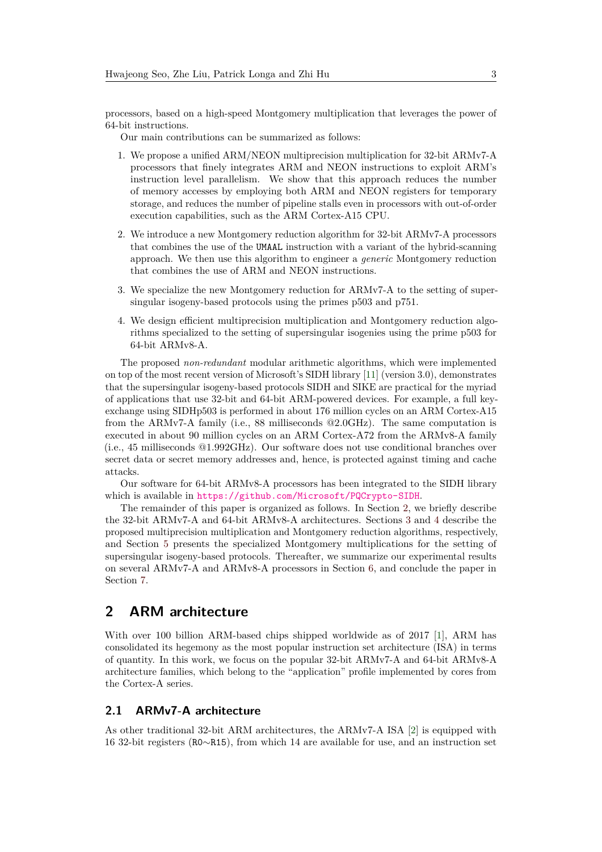processors, based on a high-speed Montgomery multiplication that leverages the power of 64-bit instructions.

Our main contributions can be summarized as follows:

- 1. We propose a unified ARM/NEON multiprecision multiplication for 32-bit ARMv7-A processors that finely integrates ARM and NEON instructions to exploit ARM's instruction level parallelism. We show that this approach reduces the number of memory accesses by employing both ARM and NEON registers for temporary storage, and reduces the number of pipeline stalls even in processors with out-of-order execution capabilities, such as the ARM Cortex-A15 CPU.
- 2. We introduce a new Montgomery reduction algorithm for 32-bit ARMv7-A processors that combines the use of the UMAAL instruction with a variant of the hybrid-scanning approach. We then use this algorithm to engineer a *generic* Montgomery reduction that combines the use of ARM and NEON instructions.
- 3. We specialize the new Montgomery reduction for ARMv7-A to the setting of supersingular isogeny-based protocols using the primes p503 and p751.
- 4. We design efficient multiprecision multiplication and Montgomery reduction algorithms specialized to the setting of supersingular isogenies using the prime p503 for 64-bit ARMv8-A.

The proposed *non-redundant* modular arithmetic algorithms, which were implemented on top of the most recent version of Microsoft's SIDH library [\[11\]](#page-17-5) (version 3.0), demonstrates that the supersingular isogeny-based protocols SIDH and SIKE are practical for the myriad of applications that use 32-bit and 64-bit ARM-powered devices. For example, a full keyexchange using SIDHp503 is performed in about 176 million cycles on an ARM Cortex-A15 from the ARMv7-A family (i.e., 88 milliseconds @2.0GHz). The same computation is executed in about 90 million cycles on an ARM Cortex-A72 from the ARMv8-A family (i.e., 45 milliseconds @1.992GHz). Our software does not use conditional branches over secret data or secret memory addresses and, hence, is protected against timing and cache attacks.

Our software for 64-bit ARMv8-A processors has been integrated to the SIDH library which is available in <https://github.com/Microsoft/PQCrypto-SIDH>.

The remainder of this paper is organized as follows. In Section [2,](#page-2-0) we briefly describe the 32-bit ARMv7-A and 64-bit ARMv8-A architectures. Sections [3](#page-4-0) and [4](#page-8-0) describe the proposed multiprecision multiplication and Montgomery reduction algorithms, respectively, and Section [5](#page-11-0) presents the specialized Montgomery multiplications for the setting of supersingular isogeny-based protocols. Thereafter, we summarize our experimental results on several ARMv7-A and ARMv8-A processors in Section [6,](#page-14-0) and conclude the paper in Section [7.](#page-16-1)

## <span id="page-2-0"></span>**2 ARM architecture**

With over 100 billion ARM-based chips shipped worldwide as of 2017 [\[1\]](#page-16-2), ARM has consolidated its hegemony as the most popular instruction set architecture (ISA) in terms of quantity. In this work, we focus on the popular 32-bit ARMv7-A and 64-bit ARMv8-A architecture families, which belong to the "application" profile implemented by cores from the Cortex-A series.

#### **2.1 ARMv7-A architecture**

As other traditional 32-bit ARM architectures, the ARMv7-A ISA [\[2\]](#page-16-3) is equipped with 16 32-bit registers (R0∼R15), from which 14 are available for use, and an instruction set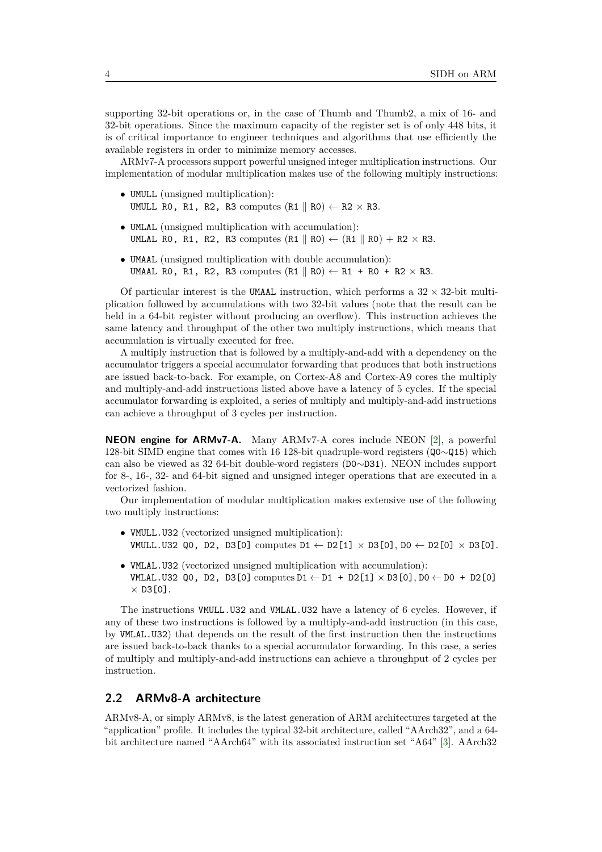supporting 32-bit operations or, in the case of Thumb and Thumb2, a mix of 16- and 32-bit operations. Since the maximum capacity of the register set is of only 448 bits, it is of critical importance to engineer techniques and algorithms that use efficiently the available registers in order to minimize memory accesses.

ARMv7-A processors support powerful unsigned integer multiplication instructions. Our implementation of modular multiplication makes use of the following multiply instructions:

- UMULL (unsigned multiplication): UMULL RO, R1, R2, R3 computes  $(R1 \parallel R0) \leftarrow R2 \times R3$ .
- UMLAL (unsigned multiplication with accumulation): UMLAL RO, R1, R2, R3 computes  $(R1 \parallel R0) \leftarrow (R1 \parallel R0) + R2 \times R3$ .
- UMAAL (unsigned multiplication with double accumulation): UMAAL RO, R1, R2, R3 computes  $(R1 \parallel R0) \leftarrow R1 + R0 + R2 \times R3$ .

Of particular interest is the UMAAL instruction, which performs a  $32 \times 32$ -bit multiplication followed by accumulations with two 32-bit values (note that the result can be held in a 64-bit register without producing an overflow). This instruction achieves the same latency and throughput of the other two multiply instructions, which means that accumulation is virtually executed for free.

A multiply instruction that is followed by a multiply-and-add with a dependency on the accumulator triggers a special accumulator forwarding that produces that both instructions are issued back-to-back. For example, on Cortex-A8 and Cortex-A9 cores the multiply and multiply-and-add instructions listed above have a latency of 5 cycles. If the special accumulator forwarding is exploited, a series of multiply and multiply-and-add instructions can achieve a throughput of 3 cycles per instruction.

**NEON engine for ARMv7-A.** Many ARMv7-A cores include NEON [\[2\]](#page-16-3), a powerful 128-bit SIMD engine that comes with 16 128-bit quadruple-word registers (Q0∼Q15) which can also be viewed as 32 64-bit double-word registers (D0∼D31). NEON includes support for 8-, 16-, 32- and 64-bit signed and unsigned integer operations that are executed in a vectorized fashion.

Our implementation of modular multiplication makes extensive use of the following two multiply instructions:

- VMULL.U32 (vectorized unsigned multiplication): VMULL.U32 QO, D2, D3[0] computes D1 ← D2[1] × D3[0], D0 ← D2[0] × D3[0].
- VMLAL.U32 (vectorized unsigned multiplication with accumulation): VMLAL.U32 Q0, D2, D3[0] computes D1 ← D1 + D2[1]  $\times$  D3[0], D0 ← D0 + D2[0]  $\times$  D3[0].

The instructions VMULL.U32 and VMLAL.U32 have a latency of 6 cycles. However, if any of these two instructions is followed by a multiply-and-add instruction (in this case, by VMLAL.U32) that depends on the result of the first instruction then the instructions are issued back-to-back thanks to a special accumulator forwarding. In this case, a series of multiply and multiply-and-add instructions can achieve a throughput of 2 cycles per instruction.

#### <span id="page-3-0"></span>**2.2 ARMv8-A architecture**

ARMv8-A, or simply ARMv8, is the latest generation of ARM architectures targeted at the "application" profile. It includes the typical 32-bit architecture, called "AArch32", and a 64 bit architecture named "AArch64" with its associated instruction set "A64" [\[3\]](#page-16-4). AArch32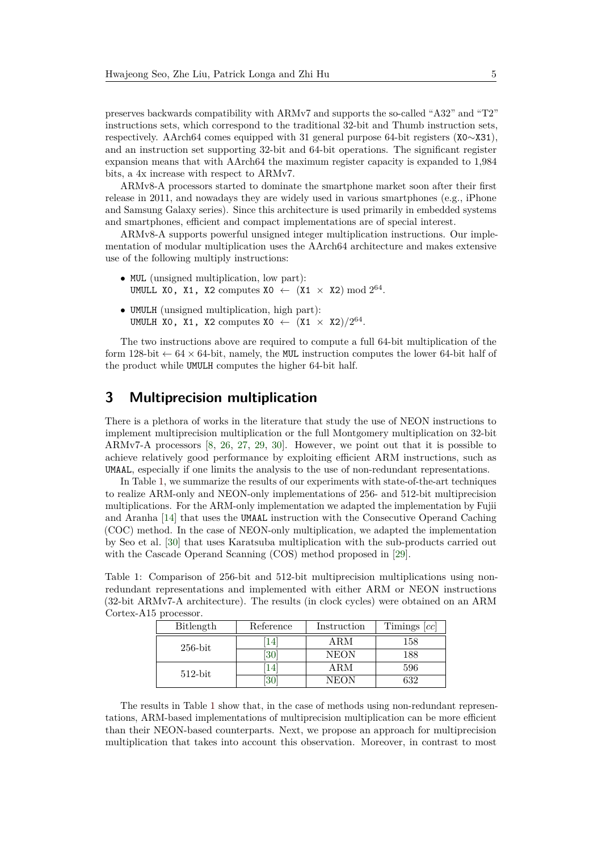preserves backwards compatibility with ARMv7 and supports the so-called "A32" and "T2" instructions sets, which correspond to the traditional 32-bit and Thumb instruction sets, respectively. AArch64 comes equipped with 31 general purpose 64-bit registers (X0∼X31), and an instruction set supporting 32-bit and 64-bit operations. The significant register expansion means that with AArch64 the maximum register capacity is expanded to 1,984 bits, a 4x increase with respect to ARMv7.

ARMv8-A processors started to dominate the smartphone market soon after their first release in 2011, and nowadays they are widely used in various smartphones (e.g., iPhone and Samsung Galaxy series). Since this architecture is used primarily in embedded systems and smartphones, efficient and compact implementations are of special interest.

ARMv8-A supports powerful unsigned integer multiplication instructions. Our implementation of modular multiplication uses the AArch64 architecture and makes extensive use of the following multiply instructions:

- MUL (unsigned multiplication, low part): UMULL XO, X1, X2 computes XO  $\leftarrow$  (X1  $\times$  X2) mod  $2^{64}$ .
- UMULH (unsigned multiplication, high part): UMULH XO, X1, X2 computes XO  $\leftarrow$   $(X1 \times X2)/2^{64}$ .

The two instructions above are required to compute a full 64-bit multiplication of the form 128-bit  $\leftarrow$  64  $\times$  64-bit, namely, the MUL instruction computes the lower 64-bit half of the product while UMULH computes the higher 64-bit half.

# <span id="page-4-0"></span>**3 Multiprecision multiplication**

There is a plethora of works in the literature that study the use of NEON instructions to implement multiprecision multiplication or the full Montgomery multiplication on 32-bit ARMv7-A processors [\[8,](#page-17-2) [26,](#page-18-7) [27,](#page-18-8) [29,](#page-18-4) [30\]](#page-18-5). However, we point out that it is possible to achieve relatively good performance by exploiting efficient ARM instructions, such as UMAAL, especially if one limits the analysis to the use of non-redundant representations.

In Table [1,](#page-4-1) we summarize the results of our experiments with state-of-the-art techniques to realize ARM-only and NEON-only implementations of 256- and 512-bit multiprecision multiplications. For the ARM-only implementation we adapted the implementation by Fujii and Aranha [\[14\]](#page-17-6) that uses the UMAAL instruction with the Consecutive Operand Caching (COC) method. In the case of NEON-only multiplication, we adapted the implementation by Seo et al. [\[30\]](#page-18-5) that uses Karatsuba multiplication with the sub-products carried out with the Cascade Operand Scanning (COS) method proposed in [\[29\]](#page-18-4).

<span id="page-4-1"></span>Table 1: Comparison of 256-bit and 512-bit multiprecision multiplications using nonredundant representations and implemented with either ARM or NEON instructions (32-bit ARMv7-A architecture). The results (in clock cycles) were obtained on an ARM Cortex-A15 processor.

| Bitlength  | Reference |             | Timings $[cc]$ |  |
|------------|-----------|-------------|----------------|--|
| $256$ -bit | 14        | ARM         | 158            |  |
|            | 30        | <b>NEON</b> | 188            |  |
| $512$ -bit | 14        | ARM         | 596            |  |
|            | 30        | <b>NEON</b> | 632            |  |

The results in Table [1](#page-4-1) show that, in the case of methods using non-redundant representations, ARM-based implementations of multiprecision multiplication can be more efficient than their NEON-based counterparts. Next, we propose an approach for multiprecision multiplication that takes into account this observation. Moreover, in contrast to most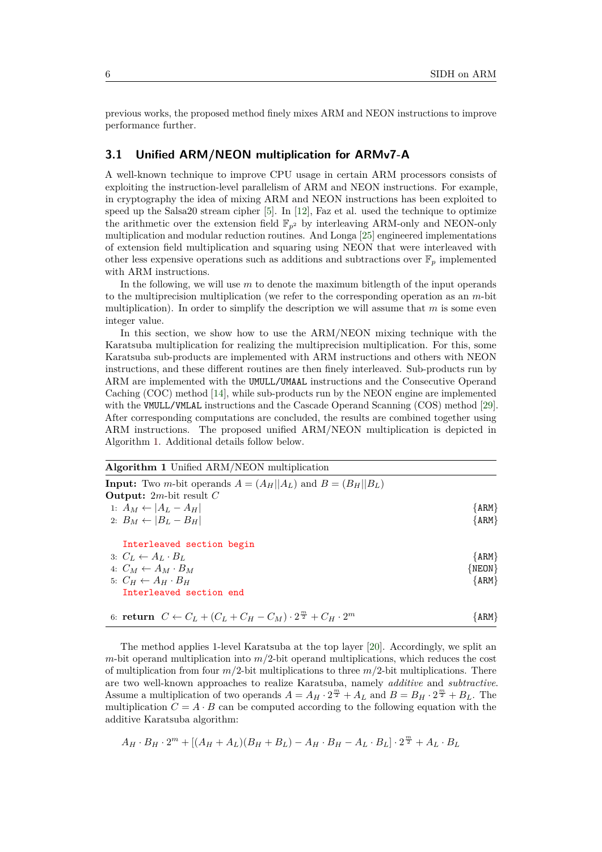previous works, the proposed method finely mixes ARM and NEON instructions to improve performance further.

#### <span id="page-5-1"></span>**3.1 Unified ARM/NEON multiplication for ARMv7-A**

A well-known technique to improve CPU usage in certain ARM processors consists of exploiting the instruction-level parallelism of ARM and NEON instructions. For example, in cryptography the idea of mixing ARM and NEON instructions has been exploited to speed up the Salsa20 stream cipher [\[5\]](#page-17-7). In [\[12\]](#page-17-8), Faz et al. used the technique to optimize the arithmetic over the extension field  $\mathbb{F}_{p^2}$  by interleaving ARM-only and NEON-only multiplication and modular reduction routines. And Longa [\[25\]](#page-18-9) engineered implementations of extension field multiplication and squaring using NEON that were interleaved with other less expensive operations such as additions and subtractions over  $\mathbb{F}_p$  implemented with ARM instructions.

In the following, we will use *m* to denote the maximum bitlength of the input operands to the multiprecision multiplication (we refer to the corresponding operation as an *m*-bit multiplication). In order to simplify the description we will assume that *m* is some even integer value.

In this section, we show how to use the ARM/NEON mixing technique with the Karatsuba multiplication for realizing the multiprecision multiplication. For this, some Karatsuba sub-products are implemented with ARM instructions and others with NEON instructions, and these different routines are then finely interleaved. Sub-products run by ARM are implemented with the UMULL/UMAAL instructions and the Consecutive Operand Caching (COC) method [\[14\]](#page-17-6), while sub-products run by the NEON engine are implemented with the VMULL/VMLAL instructions and the Cascade Operand Scanning (COS) method [\[29\]](#page-18-4). After corresponding computations are concluded, the results are combined together using ARM instructions. The proposed unified ARM/NEON multiplication is depicted in Algorithm [1.](#page-5-0) Additional details follow below.

<span id="page-5-0"></span>

| <b>Algorithm 1</b> Unified ARM/NEON multiplication                                                                        |          |
|---------------------------------------------------------------------------------------------------------------------------|----------|
| <b>Input:</b> Two <i>m</i> -bit operands $A = (A_H  A_L)$ and $B = (B_H  B_L)$<br><b>Output:</b> 2 <i>m</i> -bit result C |          |
| 1: $A_M \leftarrow  A_L - A_H $                                                                                           | ${ARM}$  |
| 2: $B_M \leftarrow  B_L - B_H $                                                                                           | ${ARM}$  |
| Interleaved section begin                                                                                                 |          |
| 3: $C_L \leftarrow A_L \cdot B_L$                                                                                         | ${ARM}$  |
| 4: $C_M \leftarrow A_M \cdot B_M$                                                                                         | ${NEON}$ |
| 5: $C_H \leftarrow A_H \cdot B_H$                                                                                         | ${ARM}$  |
| Interleaved section end                                                                                                   |          |
| 6: return $C \leftarrow C_L + (C_L + C_H - C_M) \cdot 2^{\frac{m}{2}} + C_H \cdot 2^m$                                    | { ARM }  |

The method applies 1-level Karatsuba at the top layer [\[20\]](#page-18-10). Accordingly, we split an *m*-bit operand multiplication into *m/*2-bit operand multiplications, which reduces the cost of multiplication from four  $m/2$ -bit multiplications to three  $m/2$ -bit multiplications. There are two well-known approaches to realize Karatsuba, namely *additive* and *subtractive*. Assume a multiplication of two operands  $A = A_H \cdot 2^{\frac{m}{2}} + A_L$  and  $B = B_H \cdot 2^{\frac{m}{2}} + B_L$ . The multiplication  $C = A \cdot B$  can be computed according to the following equation with the additive Karatsuba algorithm:

$$
A_H \cdot B_H \cdot 2^m + [(A_H + A_L)(B_H + B_L) - A_H \cdot B_H - A_L \cdot B_L] \cdot 2^{\frac{m}{2}} + A_L \cdot B_L
$$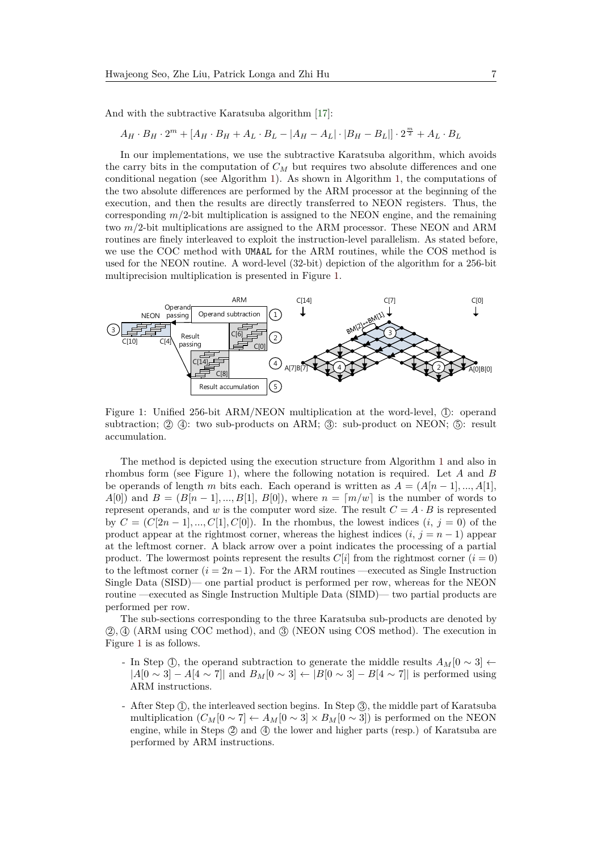And with the subtractive Karatsuba algorithm [\[17\]](#page-17-9):

$$
A_H \cdot B_H \cdot 2^m + [A_H \cdot B_H + A_L \cdot B_L - |A_H - A_L| \cdot |B_H - B_L|] \cdot 2^{\frac{m}{2}} + A_L \cdot B_L
$$

In our implementations, we use the subtractive Karatsuba algorithm, which avoids the carry bits in the computation of  $C_M$  but requires two absolute differences and one conditional negation (see Algorithm [1\)](#page-5-0). As shown in Algorithm [1,](#page-5-0) the computations of the two absolute differences are performed by the ARM processor at the beginning of the execution, and then the results are directly transferred to NEON registers. Thus, the corresponding  $m/2$ -bit multiplication is assigned to the NEON engine, and the remaining two  $m/2$ -bit multiplications are assigned to the ARM processor. These NEON and ARM routines are finely interleaved to exploit the instruction-level parallelism. As stated before, we use the COC method with UMAAL for the ARM routines, while the COS method is used for the NEON routine. A word-level (32-bit) depiction of the algorithm for a 256-bit multiprecision multiplication is presented in Figure [1.](#page-6-0) e the subtractive Karatsuba algorith two absolute unicreases are performed by

<span id="page-6-0"></span>

Figure 1: Unified 256-bit ARM/NEON multiplication at the word-level, ①: operand subtraction;  $(2)$  (4): two sub-products on ARM;  $(3)$ : sub-product on NEON;  $(5)$ : result accumulation.

routine —executed as Single Instruction Multiple Data (SIMD)— two partial products are product. The lowermost points represent the results  $C[i]$  from the rightmost corner  $(i = 0)$ eftmost corner  $(i = 2n - 1)$ to the leftmost corner  $(i = 2n - 1)$ . For the ARM routines —executed as Single Instruction performed per row. 3 Single Data (SISD)— one partial product is performed per row, whereas for the NEON The method is depicted using the execution structure from Algorithm [1](#page-5-0) and also in rhombus form (see Figure [1\)](#page-6-0), where the following notation is required. Let *A* and *B* be operands of length *m* bits each. Each operand is written as  $A = (A[n-1],...,A[1],$ *A*[0]) and  $B = (B[n-1], ..., B[1], B[0])$ , where  $n = [m/w]$  is the number of words to represent operands, and *w* is the computer word size. The result  $C = A \cdot B$  is represented by  $C = (C[2n-1], ..., C[1], C[0])$ . In the rhombus, the lowest indices  $(i, j = 0)$  of the product appear at the rightmost corner, whereas the highest indices  $(i, j = n - 1)$  appear at the leftmost corner. A black arrow over a point indicates the processing of a partial

The sub-sections corresponding to the three Karatsuba sub-products are denoted by **2**, **4** (ARM using COC method), and **3** (NEON using COS method). The execution in Figure [1](#page-6-0) is as follows.

- In Step ①, the operand subtraction to generate the middle results  $A_M[0 \sim 3]$  ←  $|A[0 \sim 3] - A[4 \sim 7]$  and  $B_M[0 \sim 3] \leftarrow |B[0 \sim 3] - B[4 \sim 7]$  is performed using ARM instructions.
- After Step (1), the interleaved section begins. In Step (3), the middle part of Karatsuba multiplication  $(C_M[0 \sim 7] \leftarrow A_M[0 \sim 3] \times B_M[0 \sim 3]$  is performed on the NEON engine, while in Steps  $(2)$  and  $(4)$  the lower and higher parts (resp.) of Karatsuba are performed by ARM instructions.

 $\mathcal{L}^{\mathcal{L}}(\mathcal{L}^{\mathcal{L}})$  can be a set of the contract of the contract of the contract of the contract of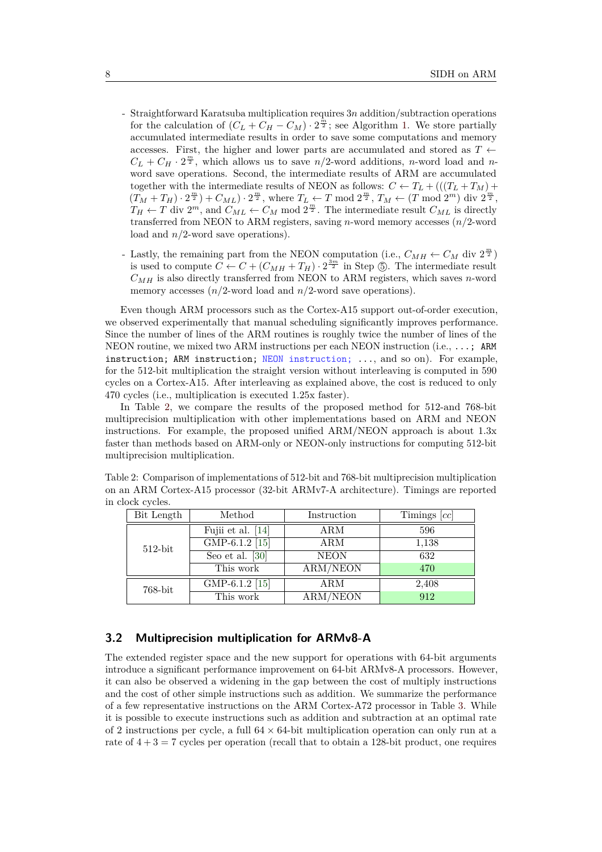- Straightforward Karatsuba multiplication requires 3*n* addition/subtraction operations for the calculation of  $(C_L + C_H - C_M) \cdot 2^{\frac{m}{2}}$ ; see Algorithm [1.](#page-5-0) We store partially accumulated intermediate results in order to save some computations and memory accesses. First, the higher and lower parts are accumulated and stored as  $T \leftarrow$  $C_L + C_H \cdot 2^{\frac{m}{2}}$ , which allows us to save  $n/2$ -word additions, *n*-word load and *n*word save operations. Second, the intermediate results of ARM are accumulated together with the intermediate results of NEON as follows:  $C \leftarrow T_L + (((T_L + T_M) +$  $(T_M + T_H) \cdot 2^{\frac{m}{2}} + C_{ML}) \cdot 2^{\frac{m}{2}}$ , where  $T_L \leftarrow T \mod 2^{\frac{m}{2}}$ ,  $T_M \leftarrow (T \mod 2^m)$  div  $2^{\frac{m}{2}}$ ,  $T_H \leftarrow T$  div  $2^m$ , and  $C_{ML} \leftarrow C_M$  mod  $2^{\frac{m}{2}}$ . The intermediate result  $C_{ML}$  is directly transferred from NEON to ARM registers, saving *n*-word memory accesses (*n/*2-word load and *n/*2-word save operations).
- Lastly, the remaining part from the NEON computation (i.e.,  $C_{MH} \leftarrow C_M$  div  $2^{\frac{m}{2}}$ ) is used to compute  $C \leftarrow C + (C_{MH} + T_H) \cdot 2^{\frac{3m}{2}}$  in Step  $\circledS$ . The intermediate result  $C_{MH}$  is also directly transferred from NEON to ARM registers, which saves *n*-word memory accesses  $(n/2$ -word load and  $n/2$ -word save operations).

Even though ARM processors such as the Cortex-A15 support out-of-order execution, we observed experimentally that manual scheduling significantly improves performance. Since the number of lines of the ARM routines is roughly twice the number of lines of the NEON routine, we mixed two ARM instructions per each NEON instruction (i.e., ...; ARM instruction; ARM instruction; NEON instruction; ..., and so on). For example, for the 512-bit multiplication the straight version without interleaving is computed in 590 cycles on a Cortex-A15. After interleaving as explained above, the cost is reduced to only 470 cycles (i.e., multiplication is executed 1.25x faster).

In Table [2,](#page-7-0) we compare the results of the proposed method for 512-and 768-bit multiprecision multiplication with other implementations based on ARM and NEON instructions. For example, the proposed unified ARM/NEON approach is about 1.3x faster than methods based on ARM-only or NEON-only instructions for computing 512-bit multiprecision multiplication.

<span id="page-7-0"></span>Table 2: Comparison of implementations of 512-bit and 768-bit multiprecision multiplication on an ARM Cortex-A15 processor (32-bit ARMv7-A architecture). Timings are reported in clock cycles.

| Bit Length | Method            | Instruction     | Timings $[cc]$ |
|------------|-------------------|-----------------|----------------|
|            | Fujii et al. [14] | ARM             | 596            |
| $512$ -bit | GMP-6.1.2 [15]    | <b>ARM</b>      | 1,138          |
|            | Seo et al. $[30]$ | <b>NEON</b>     | 632            |
|            | This work         | <b>ARM/NEON</b> | 470            |
| 768-bit    | GMP-6.1.2 [15]    | ARM             | 2,408          |
|            | This work         | ARM/NEON        | 912            |

#### <span id="page-7-1"></span>**3.2 Multiprecision multiplication for ARMv8-A**

The extended register space and the new support for operations with 64-bit arguments introduce a significant performance improvement on 64-bit ARMv8-A processors. However, it can also be observed a widening in the gap between the cost of multiply instructions and the cost of other simple instructions such as addition. We summarize the performance of a few representative instructions on the ARM Cortex-A72 processor in Table [3.](#page-8-1) While it is possible to execute instructions such as addition and subtraction at an optimal rate of 2 instructions per cycle, a full  $64 \times 64$ -bit multiplication operation can only run at a rate of  $4 + 3 = 7$  cycles per operation (recall that to obtain a 128-bit product, one requires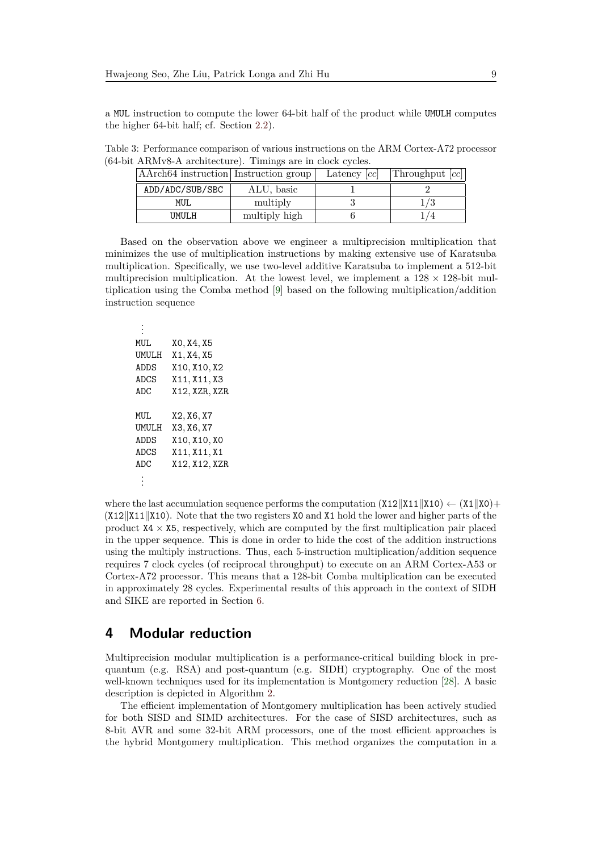a MUL instruction to compute the lower 64-bit half of the product while UMULH computes the higher 64-bit half; cf. Section [2.2\)](#page-3-0).

<span id="page-8-1"></span>Table 3: Performance comparison of various instructions on the ARM Cortex-A72 processor (64-bit ARMv8-A architecture). Timings are in clock cycles.

| AArch64 instruction Instruction group |               | Latency $[cc]$ | Throughput $ cc $ |  |
|---------------------------------------|---------------|----------------|-------------------|--|
| ADD/ADC/SUB/SBC                       | ALU, basic    |                |                   |  |
| MUL                                   | multiply      |                |                   |  |
| UMULH                                 | multiply high |                |                   |  |

Based on the observation above we engineer a multiprecision multiplication that minimizes the use of multiplication instructions by making extensive use of Karatsuba multiplication. Specifically, we use two-level additive Karatsuba to implement a 512-bit multiprecision multiplication. At the lowest level, we implement a  $128 \times 128$ -bit multiplication using the Comba method [\[9\]](#page-17-11) based on the following multiplication/addition instruction sequence

. . . MUL X0*,* X4*,* X5 UMULH X1*,* X4*,* X5 ADDS X10*,* X10*,* X2 ADCS X11*,* X11*,* X3 ADC X12*,* XZR*,* XZR MUL X2*,* X6*,* X7 UMULH X3*,* X6*,* X7 ADDS X10*,* X10*,* X0 ADCS X11*,* X11*,* X1 ADC X12*,* X12*,* XZR . . .

where the last accumulation sequence performs the computation  $(X12||X11||X10) \leftarrow (X1||X0) +$  $(X12||X11||X10)$ . Note that the two registers X0 and X1 hold the lower and higher parts of the product  $X4 \times X5$ , respectively, which are computed by the first multiplication pair placed in the upper sequence. This is done in order to hide the cost of the addition instructions using the multiply instructions. Thus, each 5-instruction multiplication/addition sequence requires 7 clock cycles (of reciprocal throughput) to execute on an ARM Cortex-A53 or Cortex-A72 processor. This means that a 128-bit Comba multiplication can be executed in approximately 28 cycles. Experimental results of this approach in the context of SIDH and SIKE are reported in Section [6.](#page-14-0)

### <span id="page-8-0"></span>**4 Modular reduction**

Multiprecision modular multiplication is a performance-critical building block in prequantum (e.g. RSA) and post-quantum (e.g. SIDH) cryptography. One of the most well-known techniques used for its implementation is Montgomery reduction [\[28\]](#page-18-0). A basic description is depicted in Algorithm [2.](#page-9-0)

The efficient implementation of Montgomery multiplication has been actively studied for both SISD and SIMD architectures. For the case of SISD architectures, such as 8-bit AVR and some 32-bit ARM processors, one of the most efficient approaches is the hybrid Montgomery multiplication. This method organizes the computation in a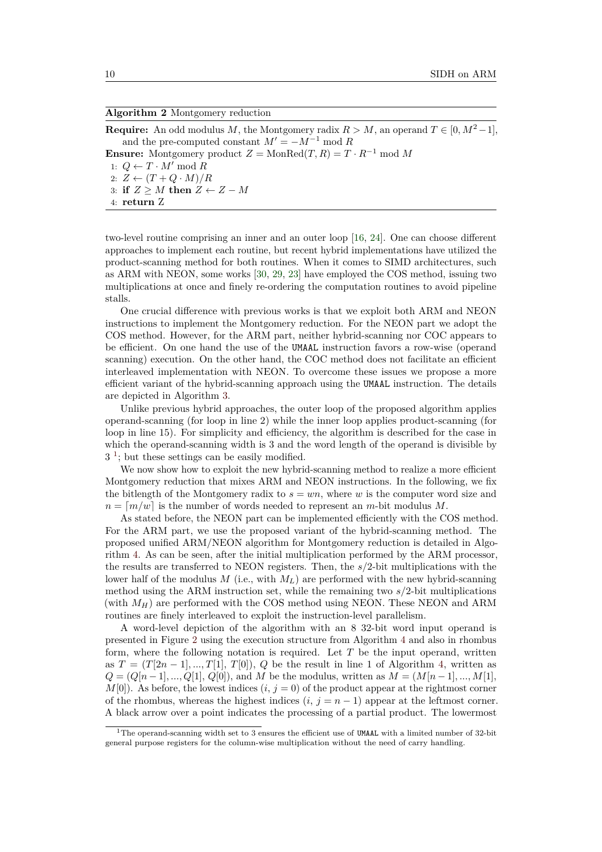#### <span id="page-9-0"></span>**Algorithm 2** Montgomery reduction

**Require:** An odd modulus *M*, the Montgomery radix  $R > M$ , an operand  $T \in [0, M^2-1]$ , and the pre-computed constant  $M' = -M^{-1} \text{ mod } R$ **Ensure:** Montgomery product  $Z = \text{MonRed}(T, R) = T \cdot R^{-1} \text{ mod } M$ 1:  $Q ← T ⋅ M' \bmod R$ 2:  $Z \leftarrow (T + Q \cdot M)/R$ 3: **if**  $Z \geq M$  **then**  $Z \leftarrow Z - M$ 4: **return** Z

two-level routine comprising an inner and an outer loop [\[16,](#page-17-1) [24\]](#page-18-3). One can choose different approaches to implement each routine, but recent hybrid implementations have utilized the product-scanning method for both routines. When it comes to SIMD architectures, such as ARM with NEON, some works [\[30,](#page-18-5) [29,](#page-18-4) [23\]](#page-18-11) have employed the COS method, issuing two multiplications at once and finely re-ordering the computation routines to avoid pipeline stalls.

One crucial difference with previous works is that we exploit both ARM and NEON instructions to implement the Montgomery reduction. For the NEON part we adopt the COS method. However, for the ARM part, neither hybrid-scanning nor COC appears to be efficient. On one hand the use of the UMAAL instruction favors a row-wise (operand scanning) execution. On the other hand, the COC method does not facilitate an efficient interleaved implementation with NEON. To overcome these issues we propose a more efficient variant of the hybrid-scanning approach using the UMAAL instruction. The details are depicted in Algorithm [3.](#page-10-0)

Unlike previous hybrid approaches, the outer loop of the proposed algorithm applies operand-scanning (for loop in line 2) while the inner loop applies product-scanning (for loop in line 15). For simplicity and efficiency, the algorithm is described for the case in which the operand-scanning width is 3 and the word length of the operand is divisible by 3 [1](#page-9-1) ; but these settings can be easily modified.

We now show how to exploit the new hybrid-scanning method to realize a more efficient Montgomery reduction that mixes ARM and NEON instructions. In the following, we fix the bitlength of the Montgomery radix to  $s = w_n$ , where *w* is the computer word size and  $n = \lceil m/w \rceil$  is the number of words needed to represent an *m*-bit modulus *M*.

As stated before, the NEON part can be implemented efficiently with the COS method. For the ARM part, we use the proposed variant of the hybrid-scanning method. The proposed unified ARM/NEON algorithm for Montgomery reduction is detailed in Algorithm [4.](#page-11-1) As can be seen, after the initial multiplication performed by the ARM processor, the results are transferred to NEON registers. Then, the *s/*2-bit multiplications with the lower half of the modulus *M* (i.e., with  $M_L$ ) are performed with the new hybrid-scanning method using the ARM instruction set, while the remaining two *s/*2-bit multiplications (with  $M_H$ ) are performed with the COS method using NEON. These NEON and ARM routines are finely interleaved to exploit the instruction-level parallelism.

A word-level depiction of the algorithm with an 8 32-bit word input operand is presented in Figure [2](#page-11-2) using the execution structure from Algorithm [4](#page-11-1) and also in rhombus form, where the following notation is required. Let *T* be the input operand, written as  $T = (T[2n-1],...,T[1], T[0]), Q$  be the result in line 1 of Algorithm [4,](#page-11-1) written as  $Q = (Q[n-1], ..., Q[1], Q[0])$ , and *M* be the modulus, written as  $M = (M[n-1], ..., M[1],$  $M[0]$ ). As before, the lowest indices  $(i, j = 0)$  of the product appear at the rightmost corner of the rhombus, whereas the highest indices  $(i, j = n - 1)$  appear at the leftmost corner. A black arrow over a point indicates the processing of a partial product. The lowermost

<span id="page-9-1"></span><sup>&</sup>lt;sup>1</sup>The operand-scanning width set to 3 ensures the efficient use of UMAAL with a limited number of 32-bit general purpose registers for the column-wise multiplication without the need of carry handling.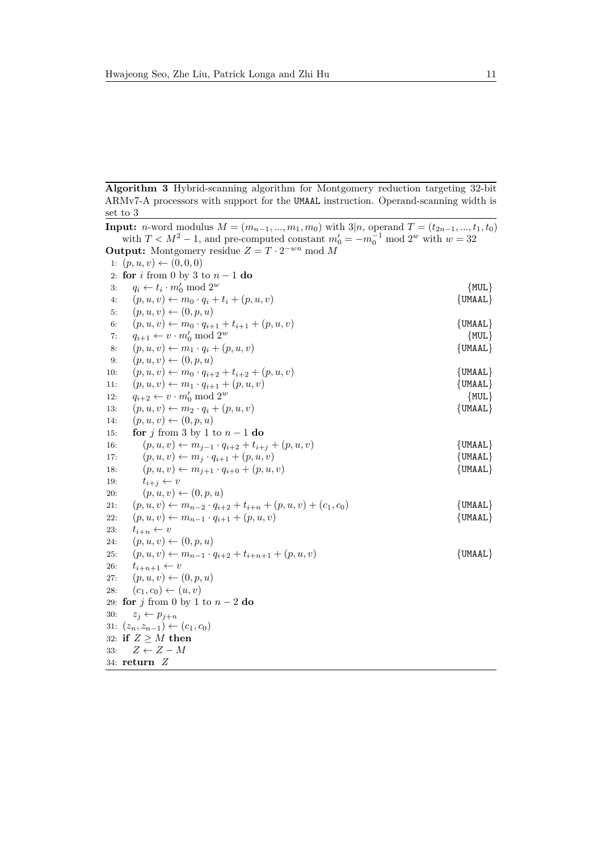<span id="page-10-0"></span>**Algorithm 3** Hybrid-scanning algorithm for Montgomery reduction targeting 32-bit ARMv7-A processors with support for the UMAAL instruction. Operand-scanning width is set to 3

|     | <b>Input:</b> <i>n</i> -word modulus $M = (m_{n-1}, , m_1, m_0)$ with $3 n$ , operand $T = (t_{2n-1}, , t_1, t_0)$ |                 |
|-----|--------------------------------------------------------------------------------------------------------------------|-----------------|
|     | with $T < M^2 - 1$ , and pre-computed constant $m'_0 = -m_0^{-1} \mod 2^w$ with $w = 32$                           |                 |
|     | <b>Output:</b> Montgomery residue $Z = T \cdot 2^{-wn} \mod M$                                                     |                 |
|     | 1: $(p, u, v) \leftarrow (0, 0, 0)$                                                                                |                 |
|     | 2: for i from 0 by 3 to $n-1$ do                                                                                   |                 |
| 3:  | $q_i \leftarrow t_i \cdot m'_0 \bmod 2^w$                                                                          | ${MUL}$         |
| 4:  | $(p, u, v) \leftarrow m_0 \cdot q_i + t_i + (p, u, v)$                                                             | $\{UMAAL\}$     |
| 5:  | $(p, u, v) \leftarrow (0, p, u)$                                                                                   |                 |
| 6:  | $(p, u, v) \leftarrow m_0 \cdot q_{i+1} + t_{i+1} + (p, u, v)$                                                     | $\{UMAAL\}$     |
| 7:  | $q_{i+1} \leftarrow v \cdot m'_0 \mod 2^w$                                                                         | ${MUL}$         |
| 8:  | $(p, u, v) \leftarrow m_1 \cdot q_i + (p, u, v)$                                                                   | $\{$ UMAAL $\}$ |
| 9:  | $(p, u, v) \leftarrow (0, p, u)$                                                                                   |                 |
| 10: | $(p, u, v) \leftarrow m_0 \cdot q_{i+2} + t_{i+2} + (p, u, v)$                                                     | $\{UMAAL\}$     |
| 11: | $(p, u, v) \leftarrow m_1 \cdot q_{i+1} + (p, u, v)$                                                               | $\{UMAAL\}$     |
| 12: | $q_{i+2} \leftarrow v \cdot m'_0 \bmod 2^w$                                                                        | ${MUL}$         |
| 13: | $(p, u, v) \leftarrow m_2 \cdot q_i + (p, u, v)$                                                                   | $\{$ UMAAL $\}$ |
| 14: | $(p, u, v) \leftarrow (0, p, u)$                                                                                   |                 |
| 15: | for j from 3 by 1 to $n-1$ do                                                                                      |                 |
| 16: | $(p, u, v) \leftarrow m_{j-1} \cdot q_{i+2} + t_{i+j} + (p, u, v)$                                                 | $\{UMAAL\}$     |
| 17: | $(p, u, v) \leftarrow m_j \cdot q_{i+1} + (p, u, v)$                                                               | $\{UMAAL\}$     |
| 18: | $(p, u, v) \leftarrow m_{j+1} \cdot q_{i+0} + (p, u, v)$                                                           | $\{$ UMAAL $\}$ |
| 19: | $t_{i+j} \leftarrow v$                                                                                             |                 |
| 20: | $(p, u, v) \leftarrow (0, p, u)$                                                                                   |                 |
| 21: | $(p, u, v) \leftarrow m_{n-2} \cdot q_{i+2} + t_{i+n} + (p, u, v) + (c_1, c_0)$                                    | $\{$ UMAAL $\}$ |
| 22: | $(p, u, v) \leftarrow m_{n-1} \cdot q_{i+1} + (p, u, v)$                                                           | $\{UMAAL\}$     |
| 23: | $t_{i+n} \leftarrow v$                                                                                             |                 |
| 24. | $(p, u, v) \leftarrow (0, p, u)$                                                                                   |                 |
| 25: | $(p, u, v) \leftarrow m_{n-1} \cdot q_{i+2} + t_{i+n+1} + (p, u, v)$                                               | $\{$ UMAAL $\}$ |
| 26: | $t_{i+n+1} \leftarrow v$                                                                                           |                 |
| 27: | $(p, u, v) \leftarrow (0, p, u)$                                                                                   |                 |
| 28: | $(c_1, c_0) \leftarrow (u, v)$                                                                                     |                 |
|     | 29: for j from 0 by 1 to $n-2$ do                                                                                  |                 |
| 30: | $z_j \leftarrow p_{j+n}$                                                                                           |                 |
|     | 31: $(z_n, z_{n-1}) \leftarrow (c_1, c_0)$                                                                         |                 |
|     | 32: if $Z \geq M$ then<br>$Z \leftarrow Z - M$                                                                     |                 |
| 33: |                                                                                                                    |                 |
|     | 34: $return Z$                                                                                                     |                 |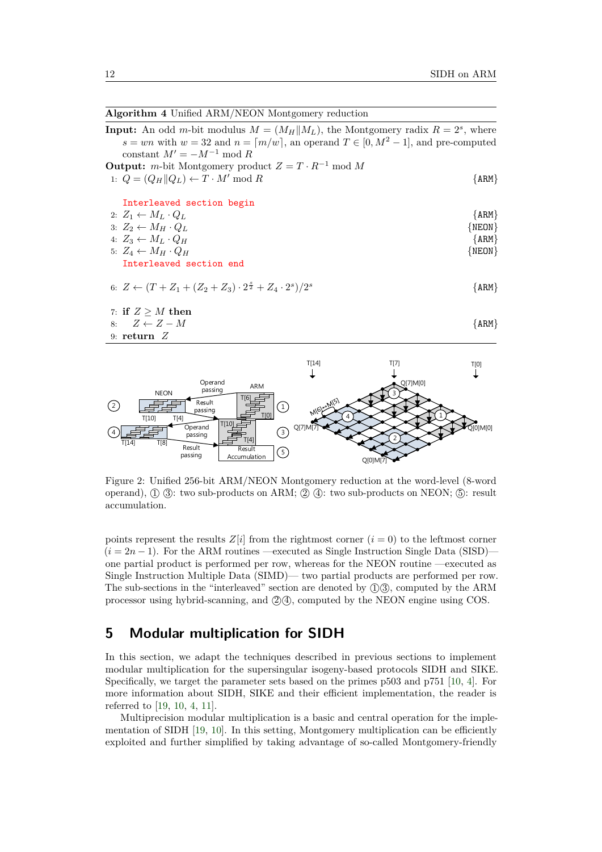<span id="page-11-1"></span>

| <b>Algorithm 4 Unified ARM/NEON Montgomery reduction</b>                                                                                                                                                                                  |            |
|-------------------------------------------------------------------------------------------------------------------------------------------------------------------------------------------------------------------------------------------|------------|
| <b>Input:</b> An odd m-bit modulus $M = (M_H  M_L)$ , the Montgomery radix $R = 2s$ , where<br>$s = wn$ with $w = 32$ and $n = \lfloor m/w \rfloor$ , an operand $T \in [0, M^2 - 1]$ , and pre-computed<br>constant $M' = -M^{-1}$ mod R |            |
| <b>Output:</b> <i>m</i> -bit Montgomery product $Z = T \cdot R^{-1} \text{ mod } M$                                                                                                                                                       |            |
| 1: $Q = (Q_H    Q_L) \leftarrow T \cdot M' \mod R$                                                                                                                                                                                        | $\{ARM\}$  |
| Interleaved section begin                                                                                                                                                                                                                 |            |
| 2: $Z_1 \leftarrow M_L \cdot Q_L$                                                                                                                                                                                                         | $\{ARM\}$  |
| 3: $Z_2 \leftarrow M_H \cdot Q_L$                                                                                                                                                                                                         | $\{NEON\}$ |
| 4: $Z_3 \leftarrow M_L \cdot Q_H$                                                                                                                                                                                                         | $\{ARM\}$  |
| 5: $Z_A \leftarrow M_H \cdot Q_H$                                                                                                                                                                                                         | $\{NEON\}$ |
| Interleaved section end                                                                                                                                                                                                                   |            |
| 6: $Z \leftarrow (T + Z_1 + (Z_2 + Z_3) \cdot 2^{\frac{3}{2}} + Z_4 \cdot 2^s)/2^s$                                                                                                                                                       | ${ARM}$    |
| 7: if $Z \geq M$ then                                                                                                                                                                                                                     |            |
| $8: Z \leftarrow Z - M$                                                                                                                                                                                                                   | {ARM}      |
| 9: return $Z$                                                                                                                                                                                                                             |            |
|                                                                                                                                                                                                                                           |            |

<span id="page-11-2"></span>

Figure 2: Unified 256-bit ARM/NEON Montgomery reduction at the word-level (8-word operand),  $(1)$   $(3)$ : two sub-products on ARM;  $(2)$   $(4)$ : two sub-products on NEON;  $(5)$ : result accumulation.

processor using hybrid-scanning, and  $\mathcal{Q}(\mathcal{A})$ , computed by the NEON engine using COS. points represent the results  $Z[i]$  from the rightmost corner  $(i = 0)$  to the leftmost corner one partial product is performed per row, whereas for the NEON routine —executed as Calculation Computer Calculation Computer Calculation Computer Calculation Computer Calculation Computer Calculation Computer Calculation Computer Calculation Computer Calculation Computer Calculation Computer Calculation points represent the results  $\mathbb{Z}[t]$  from the rightmest corner  $(t = 0)$  to the fermiost corner  $(i = 2n - 1)$ . For the ARM routines —executed as Single Instruction Single Data (SISD)— The sub-sections in the "interleaved" section are denoted by  $(1)$  $(3)$ , computed by the ARM

# <span id="page-11-0"></span>**5 Modular multiplication for SIDH**

In this section, we adapt the techniques described in previous sections to implement modular multiplication for the supersingular isogeny-based protocols SIDH and SIKE. Specifically, we target the parameter sets based on the primes p503 and p751 [\[10,](#page-17-12) [4\]](#page-16-0). For more information about SIDH, SIKE and their efficient implementation, the reader is referred to [\[19,](#page-17-3) [10,](#page-17-12) [4,](#page-16-0) [11\]](#page-17-5).

Multiprecision modular multiplication is a basic and central operation for the implementation of SIDH [\[19,](#page-17-3) [10\]](#page-17-12). In this setting, Montgomery multiplication can be efficiently exploited and further simplified by taking advantage of so-called Montgomery-friendly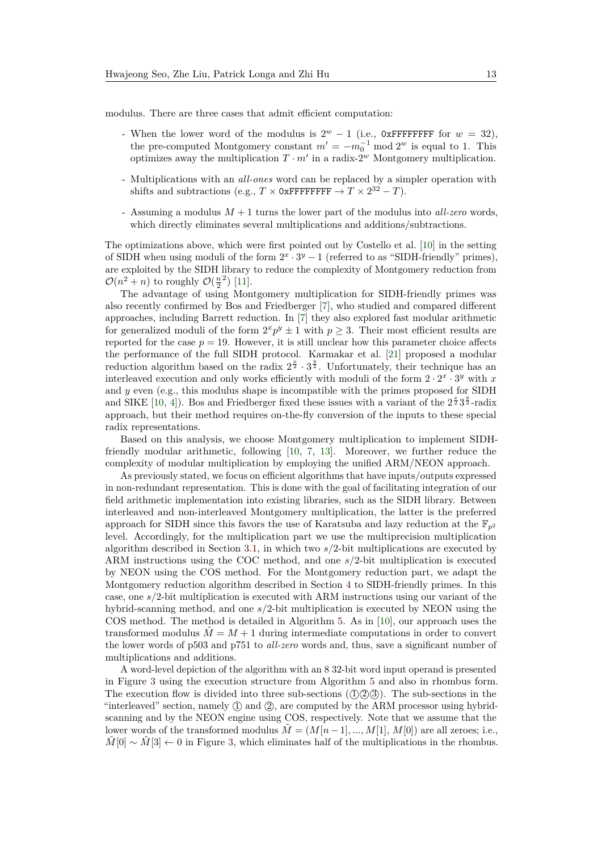modulus. There are three cases that admit efficient computation:

- When the lower word of the modulus is  $2^w 1$  (i.e., 0xFFFFFFFF for  $w = 32$ ), the pre-computed Montgomery constant  $m' = -m_0^{-1} \mod 2^w$  is equal to 1. This optimizes away the multiplication  $T \cdot m'$  in a radix-2<sup>w</sup> Montgomery multiplication.
- Multiplications with an *all-ones* word can be replaced by a simpler operation with shifts and subtractions (e.g.,  $T \times 0$ xFFFFFFFF  $\rightarrow T \times 2^{32} - T$ ).
- Assuming a modulus *M* + 1 turns the lower part of the modulus into *all-zero* words, which directly eliminates several multiplications and additions/subtractions.

The optimizations above, which were first pointed out by Costello et al. [\[10\]](#page-17-12) in the setting of SIDH when using moduli of the form  $2^x \cdot 3^y - 1$  (referred to as "SIDH-friendly" primes), are exploited by the SIDH library to reduce the complexity of Montgomery reduction from  $\mathcal{O}(n^2 + n)$  to roughly  $\mathcal{O}(\frac{n}{2})$  [\[11\]](#page-17-5).

The advantage of using Montgomery multiplication for SIDH-friendly primes was also recently confirmed by Bos and Friedberger [\[7\]](#page-17-13), who studied and compared different approaches, including Barrett reduction. In [\[7\]](#page-17-13) they also explored fast modular arithmetic for generalized moduli of the form  $2^x p^y \pm 1$  with  $p \geq 3$ . Their most efficient results are reported for the case  $p = 19$ . However, it is still unclear how this parameter choice affects the performance of the full SIDH protocol. Karmakar et al. [\[21\]](#page-18-12) proposed a modular reduction algorithm based on the radix  $2^{\frac{x}{2}} \cdot 3^{\frac{y}{2}}$ . Unfortunately, their technique has an interleaved execution and only works efficiently with moduli of the form  $2 \cdot 2^x \cdot 3^y$  with *x* and *y* even (e.g., this modulus shape is incompatible with the primes proposed for SIDH and SIKE [\[10,](#page-17-12) [4\]](#page-16-0)). Bos and Friedberger fixed these issues with a variant of the  $2^{\frac{x}{2}}3^{\frac{y}{2}}$ -radix approach, but their method requires on-the-fly conversion of the inputs to these special radix representations.

Based on this analysis, we choose Montgomery multiplication to implement SIDHfriendly modular arithmetic, following [\[10,](#page-17-12) [7,](#page-17-13) [13\]](#page-17-14). Moreover, we further reduce the complexity of modular multiplication by employing the unified ARM/NEON approach.

As previously stated, we focus on efficient algorithms that have inputs/outputs expressed in non-redundant representation. This is done with the goal of facilitating integration of our field arithmetic implementation into existing libraries, such as the SIDH library. Between interleaved and non-interleaved Montgomery multiplication, the latter is the preferred approach for SIDH since this favors the use of Karatsuba and lazy reduction at the  $\mathbb{F}_{p^2}$ level. Accordingly, for the multiplication part we use the multiprecision multiplication algorithm described in Section [3.1,](#page-5-1) in which two *s/*2-bit multiplications are executed by ARM instructions using the COC method, and one *s/*2-bit multiplication is executed by NEON using the COS method. For the Montgomery reduction part, we adapt the Montgomery reduction algorithm described in Section [4](#page-8-0) to SIDH-friendly primes. In this case, one *s/*2-bit multiplication is executed with ARM instructions using our variant of the hybrid-scanning method, and one *s/*2-bit multiplication is executed by NEON using the COS method. The method is detailed in Algorithm [5.](#page-13-0) As in [\[10\]](#page-17-12), our approach uses the transformed modulus  $\tilde{M} = M + 1$  during intermediate computations in order to convert the lower words of p503 and p751 to *all-zero* words and, thus, save a significant number of multiplications and additions.

A word-level depiction of the algorithm with an 8 32-bit word input operand is presented in Figure [3](#page-13-1) using the execution structure from Algorithm [5](#page-13-0) and also in rhombus form. The execution flow is divided into three sub-sections  $(1)$  $(2)$  $(3)$ ). The sub-sections in the "interleaved" section, namely  $\mathbb D$  and  $\mathbb Q$ , are computed by the ARM processor using hybridscanning and by the NEON engine using COS, respectively. Note that we assume that the lower words of the transformed modulus  $\tilde{M} = (M[n-1],...,M[1], M[0])$  are all zeroes; i.e., *M*[0]  $\sim$  *M*[3] ← 0 in Figure [3,](#page-13-1) which eliminates half of the multiplications in the rhombus.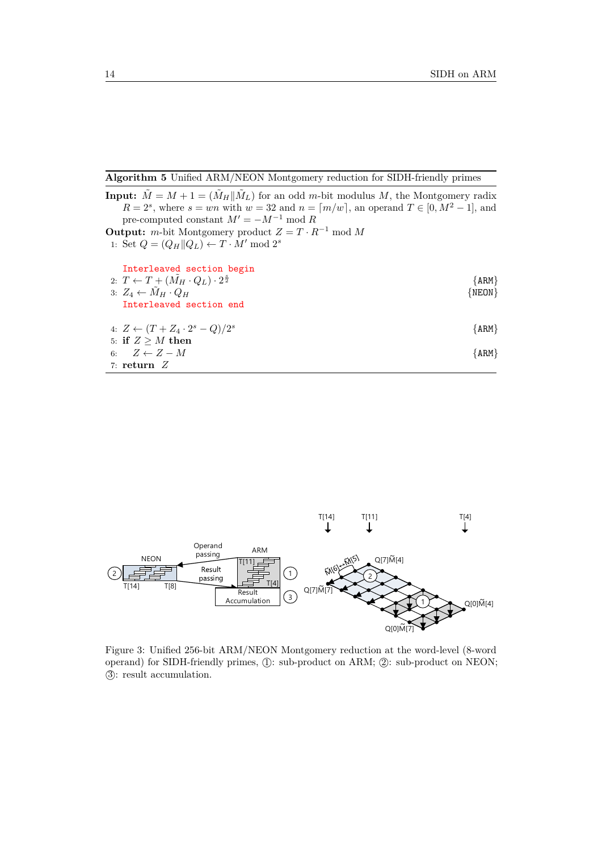<span id="page-13-0"></span>**Algorithm 5** Unified ARM/NEON Montgomery reduction for SIDH-friendly primes

| <b>Input:</b> $\tilde{M} = M + 1 = (\tilde{M}_H    \tilde{M}_L)$ for an odd m-bit modulus M, the Montgomery radix |            |
|-------------------------------------------------------------------------------------------------------------------|------------|
| $R = 2s$ , where $s = wn$ with $w = 32$ and $n = \lfloor m/w \rfloor$ , an operand $T \in [0, M^2 - 1]$ , and     |            |
| pre-computed constant $M' = -M^{-1} \text{ mod } R$                                                               |            |
| <b>Output:</b> <i>m</i> -bit Montgomery product $Z = T \cdot R^{-1} \text{ mod } M$                               |            |
| 1: Set $Q = (Q_H    Q_L) \leftarrow T \cdot M' \mod 2^s$                                                          |            |
| Interleaved section begin                                                                                         |            |
| 2: $T \leftarrow T + (\tilde{M}_H \cdot Q_L) \cdot 2^{\frac{8}{2}}$                                               | $\{ARM\}$  |
| 3: $Z_4 \leftarrow M_H \cdot Q_H$                                                                                 | $\{NEON\}$ |
| Interleaved section end                                                                                           |            |
| 4: $Z \leftarrow (T + Z_4 \cdot 2^s - Q)/2^s$                                                                     | $\{ARM\}$  |
| 5: if $Z > M$ then                                                                                                |            |
| 6: $Z \leftarrow Z - M$                                                                                           | $\{ARM\}$  |
| 7: return $Z$                                                                                                     |            |

<span id="page-13-1"></span>

Figure 3: Unified 256-bit ARM/NEON Montgomery reduction at the word-level (8-word operand) for SIDH-friendly primes, (1): sub-product on ARM; (2): sub-product on NEON; (3): result accumulation.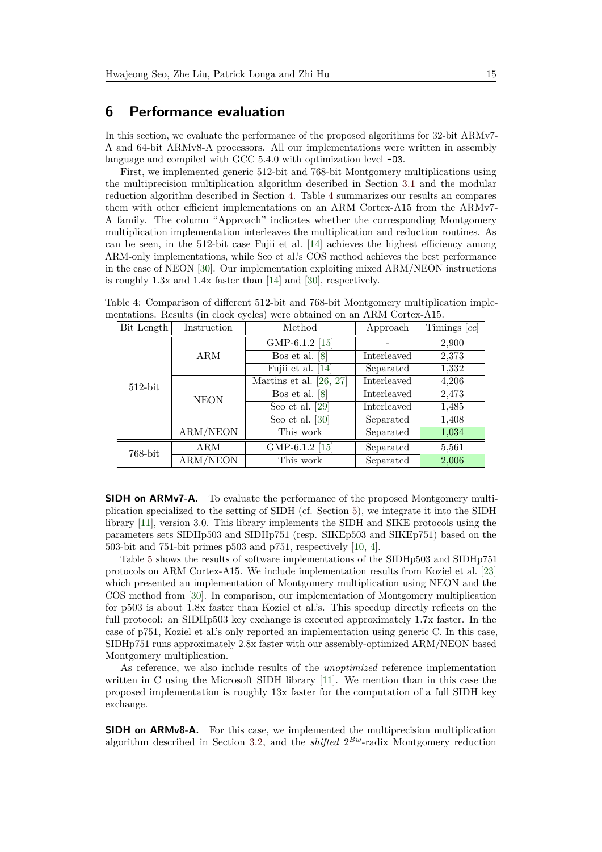## <span id="page-14-0"></span>**6 Performance evaluation**

In this section, we evaluate the performance of the proposed algorithms for 32-bit ARMv7- A and 64-bit ARMv8-A processors. All our implementations were written in assembly language and compiled with GCC 5.4.0 with optimization level  $-03$ .

First, we implemented generic 512-bit and 768-bit Montgomery multiplications using the multiprecision multiplication algorithm described in Section [3.1](#page-5-1) and the modular reduction algorithm described in Section [4.](#page-8-0) Table [4](#page-14-1) summarizes our results an compares them with other efficient implementations on an ARM Cortex-A15 from the ARMv7- A family. The column "Approach" indicates whether the corresponding Montgomery multiplication implementation interleaves the multiplication and reduction routines. As can be seen, in the 512-bit case Fujii et al. [\[14\]](#page-17-6) achieves the highest efficiency among ARM-only implementations, while Seo et al.'s COS method achieves the best performance in the case of NEON [\[30\]](#page-18-5). Our implementation exploiting mixed ARM/NEON instructions is roughly 1.3x and 1.4x faster than [\[14\]](#page-17-6) and [\[30\]](#page-18-5), respectively.

| Bit Length | Instruction | Method                    | Approach    | Timings $[cc]$ |
|------------|-------------|---------------------------|-------------|----------------|
|            |             | GMP-6.1.2 [15]            |             | 2,900          |
|            | <b>ARM</b>  | Bos et al. $[8]$          | Interleaved | 2,373          |
|            |             | Fujii et al. [14]         | Separated   | 1,332          |
| $512$ -bit |             | Martins et al. $[26, 27]$ | Interleaved | 4,206          |
|            | <b>NEON</b> | Bos et al. $[8]$          | Interleaved | 2,473          |
|            |             | Seo et al. $[29]$         | Interleaved | 1,485          |
|            |             | Seo et al. $[30]$         | Separated   | 1,408          |
|            | ARM/NEON    | This work                 | Separated   | 1,034          |
| 768-bit    | ARM         | GMP-6.1.2 [15]            | Separated   | 5,561          |
|            | ARM/NEON    | This work                 | Separated   | 2,006          |

<span id="page-14-1"></span>Table 4: Comparison of different 512-bit and 768-bit Montgomery multiplication implementations. Results (in clock cycles) were obtained on an ARM Cortex-A15.

**SIDH on ARMv7-A.** To evaluate the performance of the proposed Montgomery multiplication specialized to the setting of SIDH (cf. Section [5\)](#page-11-0), we integrate it into the SIDH library [\[11\]](#page-17-5), version 3.0. This library implements the SIDH and SIKE protocols using the parameters sets SIDHp503 and SIDHp751 (resp. SIKEp503 and SIKEp751) based on the 503-bit and 751-bit primes p503 and p751, respectively [\[10,](#page-17-12) [4\]](#page-16-0).

Table [5](#page-15-0) shows the results of software implementations of the SIDHp503 and SIDHp751 protocols on ARM Cortex-A15. We include implementation results from Koziel et al. [\[23\]](#page-18-11) which presented an implementation of Montgomery multiplication using NEON and the COS method from [\[30\]](#page-18-5). In comparison, our implementation of Montgomery multiplication for p503 is about 1.8x faster than Koziel et al.'s. This speedup directly reflects on the full protocol: an SIDHp503 key exchange is executed approximately 1.7x faster. In the case of p751, Koziel et al.'s only reported an implementation using generic C. In this case, SIDHp751 runs approximately 2.8x faster with our assembly-optimized ARM/NEON based Montgomery multiplication.

As reference, we also include results of the *unoptimized* reference implementation written in C using the Microsoft SIDH library [\[11\]](#page-17-5). We mention than in this case the proposed implementation is roughly  $13x$  faster for the computation of a full SIDH key exchange.

**SIDH on ARMv8-A.** For this case, we implemented the multiprecision multiplication algorithm described in Section [3.2,](#page-7-1) and the *shifted* 2 *Bw*-radix Montgomery reduction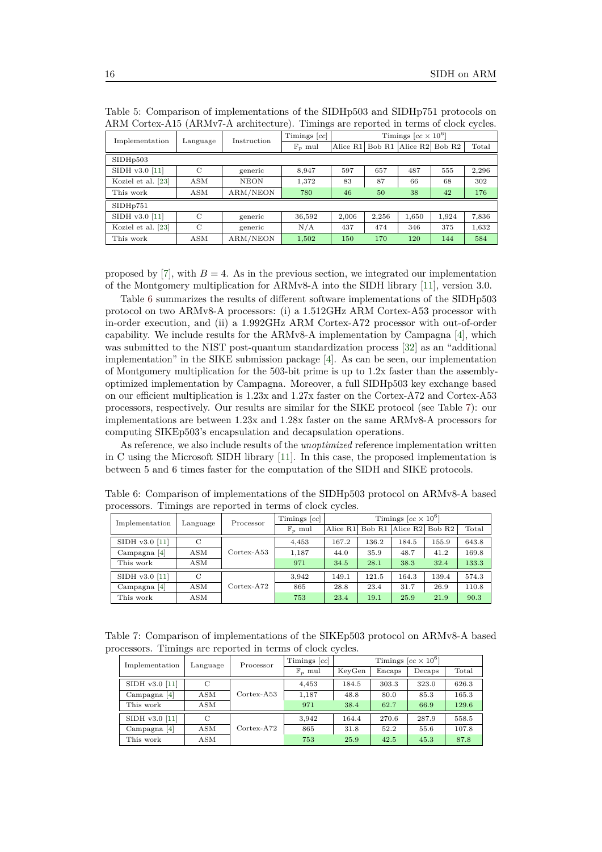| Implementation     | Language      | Instruction | Timings $[cc]$     | Timings $[cc \times 10^6]$ |        |                      |                    |       |
|--------------------|---------------|-------------|--------------------|----------------------------|--------|----------------------|--------------------|-------|
|                    |               |             | $\mathbb{F}_n$ mul | Alice R1                   | Bob R1 | Alice R <sub>2</sub> | Bob R <sub>2</sub> | Total |
| SIDHp503           |               |             |                    |                            |        |                      |                    |       |
| SIDH v3.0 [11]     | C             | generic     | 8.947              | 597                        | 657    | 487                  | 555                | 2,296 |
| Koziel et al. [23] | $_{\rm ASM}$  | <b>NEON</b> | 1,372              | 83                         | 87     | 66                   | 68                 | 302   |
| This work          | ASM           | ARM/NEON    | 780                | 46                         | 50     | 38                   | 42                 | 176   |
| SIDHp751           |               |             |                    |                            |        |                      |                    |       |
| SIDH v3.0 [11]     | $\mathcal{C}$ | generic     | 36,592             | 2,006                      | 2,256  | 1,650                | 1,924              | 7,836 |
| Koziel et al. [23] | $\mathcal{C}$ | generic     | N/A                | 437                        | 474    | 346                  | 375                | 1,632 |
| This work          | $_{\rm ASM}$  | ARM/NEON    | 1,502              | 150                        | 170    | 120                  | 144                | 584   |

<span id="page-15-0"></span>Table 5: Comparison of implementations of the SIDHp503 and SIDHp751 protocols on ARM Cortex-A15 (ARMv7-A architecture). Timings are reported in terms of clock cycles.

proposed by [\[7\]](#page-17-13), with  $B = 4$ . As in the previous section, we integrated our implementation of the Montgomery multiplication for ARMv8-A into the SIDH library [\[11\]](#page-17-5), version 3.0.

Table [6](#page-15-1) summarizes the results of different software implementations of the SIDHp503 protocol on two ARMv8-A processors: (i) a 1.512GHz ARM Cortex-A53 processor with in-order execution, and (ii) a 1.992GHz ARM Cortex-A72 processor with out-of-order capability. We include results for the ARMv8-A implementation by Campagna [\[4\]](#page-16-0), which was submitted to the NIST post-quantum standardization process [\[32\]](#page-18-6) as an "additional implementation" in the SIKE submission package [\[4\]](#page-16-0). As can be seen, our implementation of Montgomery multiplication for the 503-bit prime is up to 1.2x faster than the assemblyoptimized implementation by Campagna. Moreover, a full SIDHp503 key exchange based on our efficient multiplication is 1.23x and 1.27x faster on the Cortex-A72 and Cortex-A53 processors, respectively. Our results are similar for the SIKE protocol (see Table [7\)](#page-15-2): our implementations are between 1.23x and 1.28x faster on the same ARMv8-A processors for computing SIKEp503's encapsulation and decapsulation operations.

As reference, we also include results of the *unoptimized* reference implementation written in C using the Microsoft SIDH library [\[11\]](#page-17-5). In this case, the proposed implementation is between 5 and 6 times faster for the computation of the SIDH and SIKE protocols.

| Implementation   | Language      | Processor                  | Timings $[cc]$     | Timings $[cc \times 10^6]$ |          |                                         |       |       |
|------------------|---------------|----------------------------|--------------------|----------------------------|----------|-----------------------------------------|-------|-------|
|                  |               |                            | $\mathbb{F}_n$ mul | Alice R1                   | Bob $R1$ | Alice R <sub>2</sub> Bob R <sub>2</sub> |       | Total |
| SIDH $v3.0$ [11] | $\mathcal{C}$ |                            | 4,453              | 167.2                      | 136.2    | 184.5                                   | 155.9 | 643.8 |
| Campagna [4]     | $_{\rm ASM}$  | $\text{Cortex-}\text{A53}$ | 1,187              | 44.0                       | 35.9     | 48.7                                    | 41.2  | 169.8 |
| This work        | $_{\rm ASM}$  |                            | 971                | 34.5                       | 28.1     | 38.3                                    | 32.4  | 133.3 |
| SIDH v3.0 [11]   | $\mathcal{C}$ |                            | 3.942              | 149.1                      | 121.5    | 164.3                                   | 139.4 | 574.3 |
| Campagna [4]     | $_{\rm ASM}$  | $\text{Cortex}$ -A72       | 865                | 28.8                       | 23.4     | 31.7                                    | 26.9  | 110.8 |
| This work        | $_{\rm ASM}$  |                            | 753                | 23.4                       | 19.1     | 25.9                                    | 21.9  | 90.3  |

<span id="page-15-1"></span>Table 6: Comparison of implementations of the SIDHp503 protocol on ARMv8-A based processors. Timings are reported in terms of clock cycles.

<span id="page-15-2"></span>Table 7: Comparison of implementations of the SIKEp503 protocol on ARMv8-A based processors. Timings are reported in terms of clock cycles.

| Implementation | Language     | Processor                    | Timings [cc]       | Timings $[cc \times 10^6]$ |        |        |       |
|----------------|--------------|------------------------------|--------------------|----------------------------|--------|--------|-------|
|                |              |                              | $\mathbb{F}_n$ mul | KeyGen                     | Encaps | Decaps | Total |
| SIDH v3.0 [11] | С            |                              | 4.453              | 184.5                      | 303.3  | 323.0  | 626.3 |
| Campagna [4]   | ASM          | $\text{Cortex} - \text{A}53$ | 1.187              | 48.8                       | 80.0   | 85.3   | 165.3 |
| This work      | $_{\rm ASM}$ |                              | 971                | 38.4                       | 62.7   | 66.9   | 129.6 |
| SIDH v3.0 [11] | C            |                              | 3.942              | 164.4                      | 270.6  | 287.9  | 558.5 |
| Campagna [4]   | $_{\rm ASM}$ | $\text{Cortex}$ -A72         | 865                | 31.8                       | 52.2   | 55.6   | 107.8 |
| This work      | $_{\rm ASM}$ |                              | 753                | 25.9                       | 42.5   | 45.3   | 87.8  |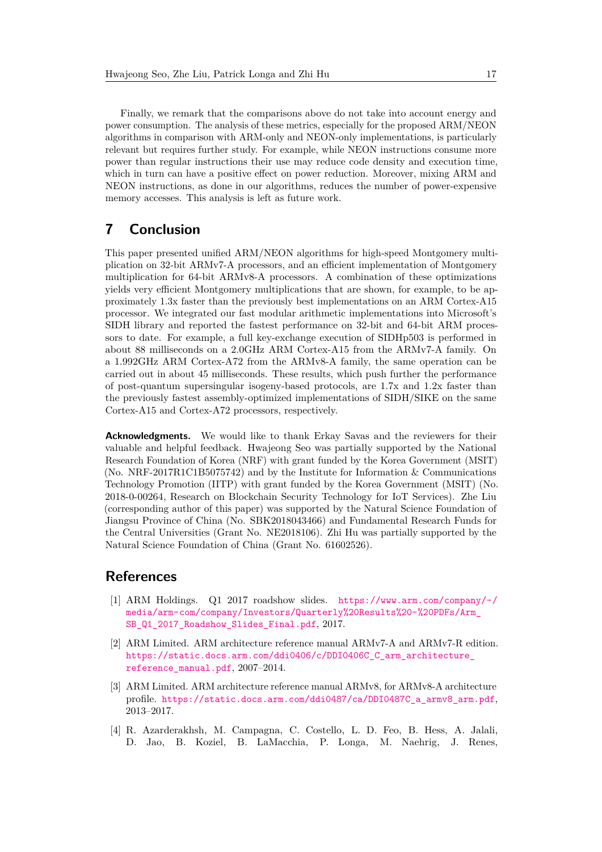Finally, we remark that the comparisons above do not take into account energy and power consumption. The analysis of these metrics, especially for the proposed ARM/NEON algorithms in comparison with ARM-only and NEON-only implementations, is particularly relevant but requires further study. For example, while NEON instructions consume more power than regular instructions their use may reduce code density and execution time, which in turn can have a positive effect on power reduction. Moreover, mixing ARM and NEON instructions, as done in our algorithms, reduces the number of power-expensive memory accesses. This analysis is left as future work.

# <span id="page-16-1"></span>**7 Conclusion**

This paper presented unified ARM/NEON algorithms for high-speed Montgomery multiplication on 32-bit ARMv7-A processors, and an efficient implementation of Montgomery multiplication for 64-bit ARMv8-A processors. A combination of these optimizations yields very efficient Montgomery multiplications that are shown, for example, to be approximately 1.3x faster than the previously best implementations on an ARM Cortex-A15 processor. We integrated our fast modular arithmetic implementations into Microsoft's SIDH library and reported the fastest performance on 32-bit and 64-bit ARM processors to date. For example, a full key-exchange execution of SIDHp503 is performed in about 88 milliseconds on a 2.0GHz ARM Cortex-A15 from the ARMv7-A family. On a 1.992GHz ARM Cortex-A72 from the ARMv8-A family, the same operation can be carried out in about 45 milliseconds. These results, which push further the performance of post-quantum supersingular isogeny-based protocols, are 1.7x and 1.2x faster than the previously fastest assembly-optimized implementations of SIDH/SIKE on the same Cortex-A15 and Cortex-A72 processors, respectively.

**Acknowledgments.** We would like to thank Erkay Savas and the reviewers for their valuable and helpful feedback. Hwajeong Seo was partially supported by the National Research Foundation of Korea (NRF) with grant funded by the Korea Government (MSIT) (No. NRF-2017R1C1B5075742) and by the Institute for Information & Communications Technology Promotion (IITP) with grant funded by the Korea Government (MSIT) (No. 2018-0-00264, Research on Blockchain Security Technology for IoT Services). Zhe Liu (corresponding author of this paper) was supported by the Natural Science Foundation of Jiangsu Province of China (No. SBK2018043466) and Fundamental Research Funds for the Central Universities (Grant No. NE2018106). Zhi Hu was partially supported by the Natural Science Foundation of China (Grant No. 61602526).

## **References**

- <span id="page-16-2"></span>[1] ARM Holdings. Q1 2017 roadshow slides. [https://www.arm.com/company/-/](https://www.arm.com/company/-/media/arm-com/company/Investors/Quarterly%20Results%20-%20PDFs/Arm_SB_Q1_2017_Roadshow_Slides_Final.pdf) [media/arm-com/company/Investors/Quarterly%20Results%20-%20PDFs/Arm\\_](https://www.arm.com/company/-/media/arm-com/company/Investors/Quarterly%20Results%20-%20PDFs/Arm_SB_Q1_2017_Roadshow_Slides_Final.pdf) [SB\\_Q1\\_2017\\_Roadshow\\_Slides\\_Final.pdf](https://www.arm.com/company/-/media/arm-com/company/Investors/Quarterly%20Results%20-%20PDFs/Arm_SB_Q1_2017_Roadshow_Slides_Final.pdf), 2017.
- <span id="page-16-3"></span>[2] ARM Limited. ARM architecture reference manual ARMv7-A and ARMv7-R edition. https://static.docs.arm.com/ddi0406/c/DDI0406C\_C\_arm\_architecture [reference\\_manual.pdf](https://static.docs.arm.com/ddi0406/c/DDI0406C_C_arm_architecture_reference_manual.pdf), 2007–2014.
- <span id="page-16-4"></span>[3] ARM Limited. ARM architecture reference manual ARMv8, for ARMv8-A architecture profile. [https://static.docs.arm.com/ddi0487/ca/DDI0487C\\_a\\_armv8\\_arm.pdf](https://static.docs.arm.com/ddi0487/ca/DDI0487C_a_armv8_arm.pdf), 2013–2017.
- <span id="page-16-0"></span>[4] R. Azarderakhsh, M. Campagna, C. Costello, L. D. Feo, B. Hess, A. Jalali, D. Jao, B. Koziel, B. LaMacchia, P. Longa, M. Naehrig, J. Renes,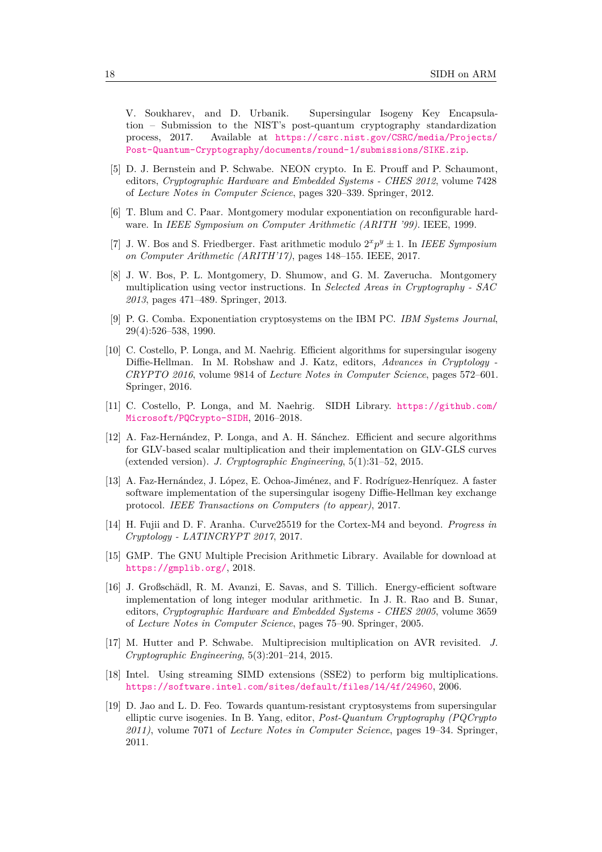V. Soukharev, and D. Urbanik. Supersingular Isogeny Key Encapsulation – Submission to the NIST's post-quantum cryptography standardization process, 2017. Available at [https://csrc.nist.gov/CSRC/media/Projects/](https://csrc.nist.gov/CSRC/media/Projects/Post-Quantum-Cryptography/documents/round-1/submissions/SIKE.zip) [Post-Quantum-Cryptography/documents/round-1/submissions/SIKE.zip](https://csrc.nist.gov/CSRC/media/Projects/Post-Quantum-Cryptography/documents/round-1/submissions/SIKE.zip).

- <span id="page-17-7"></span>[5] D. J. Bernstein and P. Schwabe. NEON crypto. In E. Prouff and P. Schaumont, editors, *Cryptographic Hardware and Embedded Systems - CHES 2012*, volume 7428 of *Lecture Notes in Computer Science*, pages 320–339. Springer, 2012.
- <span id="page-17-0"></span>[6] T. Blum and C. Paar. Montgomery modular exponentiation on reconfigurable hardware. In *IEEE Symposium on Computer Arithmetic (ARITH '99)*. IEEE, 1999.
- <span id="page-17-13"></span>[7] J. W. Bos and S. Friedberger. Fast arithmetic modulo  $2^x p^y \pm 1$ . In *IEEE Symposium on Computer Arithmetic (ARITH'17)*, pages 148–155. IEEE, 2017.
- <span id="page-17-2"></span>[8] J. W. Bos, P. L. Montgomery, D. Shumow, and G. M. Zaverucha. Montgomery multiplication using vector instructions. In *Selected Areas in Cryptography - SAC 2013*, pages 471–489. Springer, 2013.
- <span id="page-17-11"></span>[9] P. G. Comba. Exponentiation cryptosystems on the IBM PC. *IBM Systems Journal*, 29(4):526–538, 1990.
- <span id="page-17-12"></span>[10] C. Costello, P. Longa, and M. Naehrig. Efficient algorithms for supersingular isogeny Diffie-Hellman. In M. Robshaw and J. Katz, editors, *Advances in Cryptology - CRYPTO 2016*, volume 9814 of *Lecture Notes in Computer Science*, pages 572–601. Springer, 2016.
- <span id="page-17-5"></span>[11] C. Costello, P. Longa, and M. Naehrig. SIDH Library. [https://github.com/](https://github.com/Microsoft/PQCrypto-SIDH) [Microsoft/PQCrypto-SIDH](https://github.com/Microsoft/PQCrypto-SIDH), 2016–2018.
- <span id="page-17-8"></span>[12] A. Faz-Hernández, P. Longa, and A. H. Sánchez. Efficient and secure algorithms for GLV-based scalar multiplication and their implementation on GLV-GLS curves (extended version). *J. Cryptographic Engineering*, 5(1):31–52, 2015.
- <span id="page-17-14"></span>[13] A. Faz-Hernández, J. López, E. Ochoa-Jiménez, and F. Rodríguez-Henríquez. A faster software implementation of the supersingular isogeny Diffie-Hellman key exchange protocol. *IEEE Transactions on Computers (to appear)*, 2017.
- <span id="page-17-6"></span>[14] H. Fujii and D. F. Aranha. Curve25519 for the Cortex-M4 and beyond. *Progress in Cryptology - LATINCRYPT 2017*, 2017.
- <span id="page-17-10"></span>[15] GMP. The GNU Multiple Precision Arithmetic Library. Available for download at <https://gmplib.org/>, 2018.
- <span id="page-17-1"></span>[16] J. Großschädl, R. M. Avanzi, E. Savas, and S. Tillich. Energy-efficient software implementation of long integer modular arithmetic. In J. R. Rao and B. Sunar, editors, *Cryptographic Hardware and Embedded Systems - CHES 2005*, volume 3659 of *Lecture Notes in Computer Science*, pages 75–90. Springer, 2005.
- <span id="page-17-9"></span>[17] M. Hutter and P. Schwabe. Multiprecision multiplication on AVR revisited. *J. Cryptographic Engineering*, 5(3):201–214, 2015.
- <span id="page-17-4"></span>[18] Intel. Using streaming SIMD extensions (SSE2) to perform big multiplications. <https://software.intel.com/sites/default/files/14/4f/24960>, 2006.
- <span id="page-17-3"></span>[19] D. Jao and L. D. Feo. Towards quantum-resistant cryptosystems from supersingular elliptic curve isogenies. In B. Yang, editor, *Post-Quantum Cryptography (PQCrypto 2011)*, volume 7071 of *Lecture Notes in Computer Science*, pages 19–34. Springer, 2011.